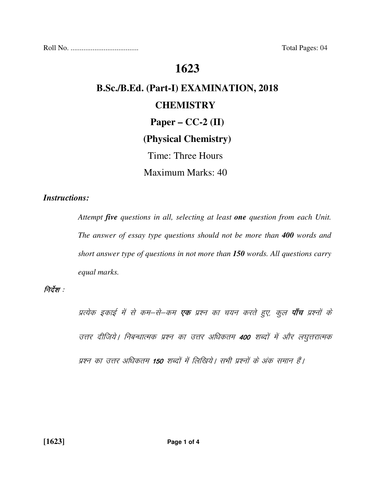Roll No. ..................................... Total Pages: 04

# **1623**

# **B.Sc./B.Ed. (Part-I) EXAMINATION, 2018 CHEMISTRY Paper – CC-2 (II) (Physical Chemistry)**

Time: Three Hours

Maximum Marks: 40

#### *Instructions:*

 *Attempt five questions in all, selecting at least one question from each Unit. The answer of essay type questions should not be more than 400 words and short answer type of questions in not more than 150 words. All questions carry equal marks.* 

#### निर्देश :

प्रत्येक इकाई में से कम–से–कम **एक** प्रश्न का चयन करते हुए, कुल **पाँच** प्रश्नों के उत्तर दीजिये | निबन्धात्मक प्रश्न का उत्तर अधिकतम 400 शब्दों में और लघुत्तरात्मक प्रश्न का उत्तर अधिकतम 150 शब्दों में लिखिये। सभी प्रश्नों के अंक समान हैं।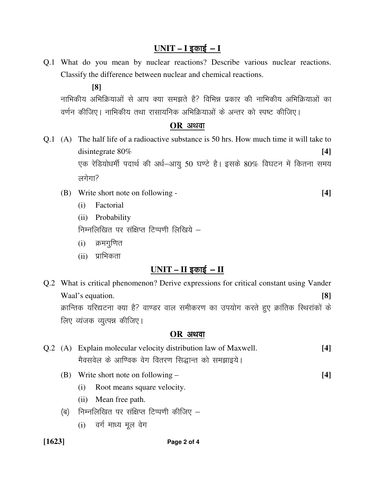# <u> UNIT – I इकाई – I</u>

Q.1 What do you mean by nuclear reactions? Describe various nuclear reactions. Classify the difference between nuclear and chemical reactions.

**[8]**

नाभिकीय अभिक्रियाओं से आप क्या समझते है? विभिन्न प्रकार की नाभिकीय अभिक्रियाओं का वर्णन कीजिए। नाभिकीय तथा रासायनिक अभिक्रियाओं के अन्तर को स्पष्ट कीजिए।

#### $OR$  अथवा

- Q.1 (A) The half life of a radioactive substance is 50 hrs. How much time it will take to disintegrate 80% **[4]**  एक रेडियोधर्मी पदार्थ की अर्ध-आयू 50 घण्टे है। इसके 80% विघटन में कितना समय लगेगा $\overline{?}$ 
	- (B) Write short note on following **[4]** 
		- (i) Factorial
		- (ii) Probability

निम्नलिखित पर संक्षिप्त टिप्पणी लिखिये -

- $(i)$  क्रमगुणित
- (ii) प्राभिकता

# $UNIT - II$  इकाई  $-II$

Q.2 What is critical phenomenon? Derive expressions for critical constant using Vander Waal's equation. **[8]** क्रान्तिक यरिद्यटना क्या है? वाण्डर वाल समीकरण का उपयोग करते हुए क्रांतिक स्थिरांकों के लिए व्यंजक व्युत्पन्न कीजिए।

#### **OR** अथवा

- Q.2 (A) Explain molecular velocity distribution law of Maxwell. **[4]**  मैवसवेल के आण्विक वेग वितरण सिद्धान्त को समझाइये।
	- (B) Write short note on following **[4]**
		- (i) Root means square velocity.
		- (ii) Mean free path.
		- (ब) निम्नलिखित पर संक्षिप्त टिप्पणी कीजिए  $-$ 
			- $(i)$  वर्ग माध्य मूल वेग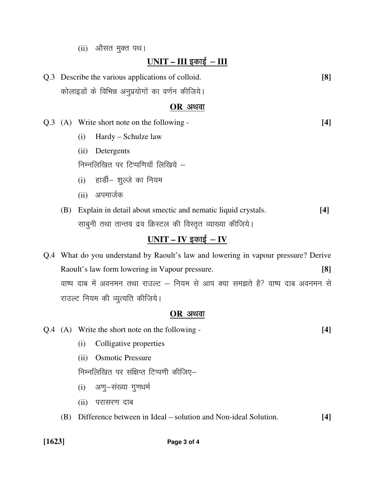(ii) औसत मुक्त पथ।

### $UNIT - III$  इकाई – III

Q.3 Describe the various applications of colloid. **[8]**  कोलाइडों के विभिन्न अनुप्रयोगों का वर्णन कीजिये।

#### $OR$  अथवा

- Q.3 (A) Write short note on the following **[4]** 
	- (i) Hardy Schulze law
	- (ii) Detergents

निम्नलिखित पर टिप्पणियाँ लिखिये  $-$ 

- (i) हार्डी- शुल्जे का नियम
- (ii) अपमार्जक
- (B) Explain in detail about smectic and nematic liquid crystals. **[4]** साबुनी तथा तान्तव द्रव क्रिस्टल की विस्तृत व्याख्या कीजिये।

# <u>UNIT – IV इकाई – IV</u>

Q.4 What do you understand by Raoult's law and lowering in vapour pressure? Derive Raoult's law form lowering in Vapour pressure. **[8]**  वाष्प दाब में अवनमन तथा राउल्ट – नियम से आप क्या समझते है? वाष्प दाब अवनमन से राउल्ट नियम की व्यूत्यति कीजिये।

#### $OR$  अथवा

- Q.4 (A) Write the short note on the following **[4]** 
	- (i) Colligative properties
	- (ii) Osmotic Pressure

निम्नलिखित पर संक्षिप्त टिप्पणी कीजिए-

- (i) अणु-संख्या गुणधर्म
- (ii) परासरण दाब
- (B) Difference between in Ideal solution and Non-ideal Solution. **[4]**